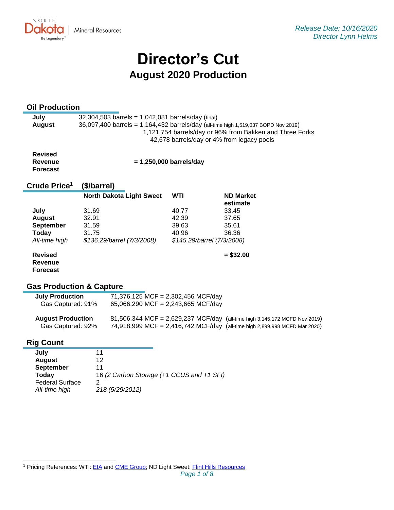**Mineral Resources** 

# **Director's Cut August 2020 Production**

# **Oil Production**

NORTH

KO. Be Legendary.

| July   | $32,304,503$ barrels = 1,042,081 barrels/day (final)                                                   |  |  |  |
|--------|--------------------------------------------------------------------------------------------------------|--|--|--|
| August | 36,097,400 barrels = 1,164,432 barrels/day (all-time high 1,519,037 BOPD Nov 2019)                     |  |  |  |
|        | 1,121,754 barrels/day or 96% from Bakken and Three Forks<br>42,678 barrels/day or 4% from legacy pools |  |  |  |
|        |                                                                                                        |  |  |  |

**Revised Revenue Forecast**

 **= 1,250,000 barrels/day**

| Crude Price <sup>1</sup> | (\$/barrel)                     |       |                              |
|--------------------------|---------------------------------|-------|------------------------------|
|                          | <b>North Dakota Light Sweet</b> | WTI   | <b>ND Market</b><br>estimate |
| July                     | 31.69                           | 40.77 | 33.45                        |
| <b>August</b>            | 32.91                           | 42.39 | 37.65                        |
| <b>September</b>         | 31.59                           | 39.63 | 35.61                        |
| <b>Today</b>             | 31.75                           | 40.96 | 36.36                        |
| All-time high            | \$136.29/barrel (7/3/2008)      |       | \$145.29/barrel (7/3/2008)   |
| <b>Revised</b>           |                                 |       | $=$ \$32.00                  |

**Revised Revenue Forecast**

# **Gas Production & Capture**

# **Rig Count**

| 11                                        |
|-------------------------------------------|
| 12                                        |
| 11                                        |
| 16 (2 Carbon Storage (+1 CCUS and +1 SFI) |
|                                           |
| 218 (5/29/2012)                           |
|                                           |

<sup>&</sup>lt;sup>1</sup> Pricing References: WTI: [EIA](https://www.eia.gov/dnav/pet/hist/LeafHandler.ashx?n=PET&s=RCLC1&f=M) and [CME Group;](https://www.cmegroup.com/trading/energy/crude-oil/light-sweet-crude.html) ND Light Sweet: [Flint Hills Resources](https://www.fhr.com/products-services/fuels-and-aromatics)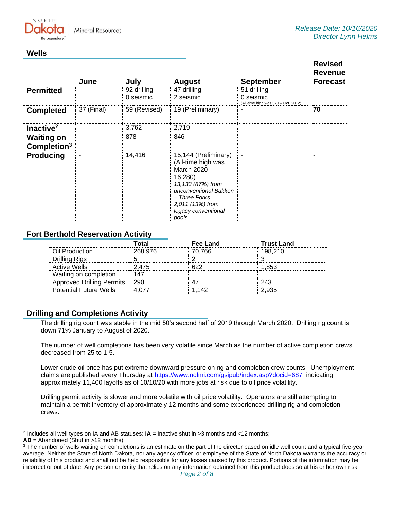**Mineral Resources** 

# **Wells**

NORTH

|                                              | June       | July                     | <b>August</b>                                                                                                                                                                            | <b>September</b>                                                | <b>Revised</b><br><b>Revenue</b><br><b>Forecast</b> |
|----------------------------------------------|------------|--------------------------|------------------------------------------------------------------------------------------------------------------------------------------------------------------------------------------|-----------------------------------------------------------------|-----------------------------------------------------|
| <b>Permitted</b>                             |            | 92 drilling<br>0 seismic | 47 drilling<br>2 seismic                                                                                                                                                                 | 51 drilling<br>0 seismic<br>(All-time high was 370 - Oct. 2012) |                                                     |
| <b>Completed</b>                             | 37 (Final) | 59 (Revised)             | 19 (Preliminary)                                                                                                                                                                         | ٠                                                               | 70                                                  |
| Inactive <sup>2</sup>                        |            | 3,762                    | 2,719                                                                                                                                                                                    | ٠                                                               | $\overline{\phantom{a}}$                            |
| <b>Waiting on</b><br>Completion <sup>3</sup> |            | 878                      | 846                                                                                                                                                                                      | ٠                                                               | ٠                                                   |
| <b>Producing</b>                             | -          | 14,416                   | 15,144 (Preliminary)<br>(All-time high was<br>March 2020 -<br>16,280)<br>13,133 (87%) from<br>unconventional Bakken<br>- Three Forks<br>2,011 (13%) from<br>legacy conventional<br>pools | $\overline{\phantom{a}}$                                        | $\blacksquare$                                      |

# **Fort Berthold Reservation Activity**

|                                  | Total   | Fee Land | <b>Trust Land</b> |
|----------------------------------|---------|----------|-------------------|
| Oil Production                   | 268,976 | 70.766   | 198.210           |
| Drilling Rigs                    |         |          |                   |
| <b>Active Wells</b>              | 2.475   | ควว      | 1.853             |
| Waiting on completion            | 147     |          |                   |
| <b>Approved Drilling Permits</b> | -290    |          | 243               |
| <b>Potential Future Wells</b>    |         | 1 142    | 2.935             |

# **Drilling and Completions Activity**

The drilling rig count was stable in the mid 50's second half of 2019 through March 2020. Drilling rig count is down 71% January to August of 2020.

The number of well completions has been very volatile since March as the number of active completion crews decreased from 25 to 1-5.

Lower crude oil price has put extreme downward pressure on rig and completion crew counts. Unemployment claims are published every Thursday at<https://www.ndlmi.com/gsipub/index.asp?docid=687> indicating approximately 11,400 layoffs as of 10/10/20 with more jobs at risk due to oil price volatility.

Drilling permit activity is slower and more volatile with oil price volatility. Operators are still attempting to maintain a permit inventory of approximately 12 months and some experienced drilling rig and completion crews.

<sup>2</sup> Includes all well types on IA and AB statuses: **IA** = Inactive shut in >3 months and <12 months;

**AB** = Abandoned (Shut in >12 months)

<sup>&</sup>lt;sup>3</sup> The number of wells waiting on completions is an estimate on the part of the director based on idle well count and a typical five-year average. Neither the State of North Dakota, nor any agency officer, or employee of the State of North Dakota warrants the accuracy or reliability of this product and shall not be held responsible for any losses caused by this product. Portions of the information may be incorrect or out of date. Any person or entity that relies on any information obtained from this product does so at his or her own risk.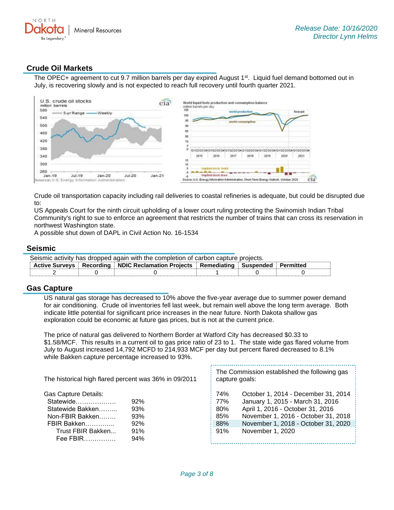

# **Crude Oil Markets**

The OPEC+ agreement to cut 9.7 million barrels per day expired August 1<sup>st</sup>. Liquid fuel demand bottomed out in July, is recovering slowly and is not expected to reach full recovery until fourth quarter 2021.



Crude oil transportation capacity including rail deliveries to coastal refineries is adequate, but could be disrupted due to:

US Appeals Court for the ninth circuit upholding of a lower court ruling protecting the Swinomish Indian Tribal Community's right to sue to enforce an agreement that restricts the number of trains that can cross its reservation in northwest Washington state.

A possible shut down of DAPL in Civil Action No. 16-1534

#### **Seismic**

| Seismic activity has dropped again with the completion of carbon capture projects. |  |                                                                                              |  |  |  |
|------------------------------------------------------------------------------------|--|----------------------------------------------------------------------------------------------|--|--|--|
|                                                                                    |  | Active Surveys   Recording   NDIC Reclamation Projects   Remediating   Suspended   Permitted |  |  |  |
|                                                                                    |  |                                                                                              |  |  |  |

#### **Gas Capture**

US natural gas storage has decreased to 10% above the five-year average due to summer power demand for air conditioning. Crude oil inventories fell last week, but remain well above the long term average. Both indicate little potential for significant price increases in the near future. North Dakota shallow gas exploration could be economic at future gas prices, but is not at the current price.

The price of natural gas delivered to Northern Border at Watford City has decreased \$0.33 to \$1.58/MCF. This results in a current oil to gas price ratio of 23 to 1. The state wide gas flared volume from July to August increased 14,792 MCFD to 214,933 MCF per day but percent flared decreased to 8.1% while Bakken capture percentage increased to 93%.

| The historical high flared percent was 36% in 09/2011 |     | The Commission established the following gas<br>capture goals: |                                     |  |
|-------------------------------------------------------|-----|----------------------------------------------------------------|-------------------------------------|--|
| <b>Gas Capture Details:</b>                           |     | 74%                                                            | October 1, 2014 - December 31, 2014 |  |
| Statewide                                             | 92% | 77%                                                            | January 1, 2015 - March 31, 2016    |  |
| Statewide Bakken                                      | 93% | 80%                                                            | April 1, 2016 - October 31, 2016    |  |
| Non-FBIR Bakken                                       | 93% | 85%                                                            | November 1, 2016 - October 31, 2018 |  |
| FBIR Bakken                                           | 92% | 88%                                                            | November 1, 2018 - October 31, 2020 |  |
| Trust FBIR Bakken                                     | 91% | 91%                                                            | November 1, 2020                    |  |
| Fee FBIR                                              | 94% |                                                                |                                     |  |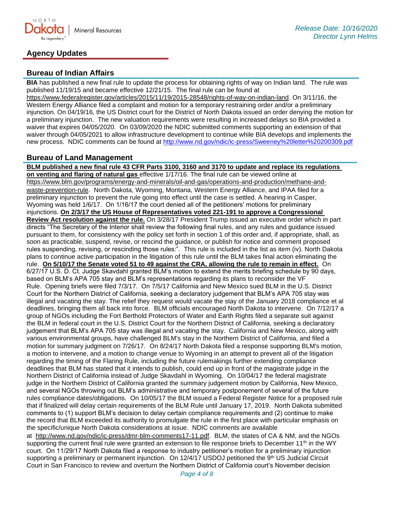

# **Agency Updates**

# **Bureau of Indian Affairs**

**BIA** has published a new final rule to update the process for obtaining rights of way on Indian land. The rule was published 11/19/15 and became effective 12/21/15. The final rule can be found at

[https://www.federalregister.gov/articles/2015/11/19/2015-28548/rights-of-way-on-indian-land.](https://gcc02.safelinks.protection.outlook.com/?url=https%3A%2F%2Fwww.federalregister.gov%2Farticles%2F2015%2F11%2F19%2F2015-28548%2Frights-of-way-on-indian-land&data=04%7C01%7Ckahaarsager%40nd.gov%7C3acd2351eefd43ad3da408d871ffe698%7C2dea0464da514a88bae2b3db94bc0c54%7C0%7C0%7C637384691200999201%7CUnknown%7CTWFpbGZsb3d8eyJWIjoiMC4wLjAwMDAiLCJQIjoiV2luMzIiLCJBTiI6Ik1haWwiLCJXVCI6Mn0%3D%7C1000&sdata=tiShdyS5okuIcOpsenI%2FN%2FqIb8iGOyM23s4ZMF7Em2k%3D&reserved=0) On 3/11/16, the Western Energy Alliance filed a complaint and motion for a temporary restraining order and/or a preliminary injunction. On 04/19/16, the US District court for the District of North Dakota issued an order denying the motion for a preliminary injunction. The new valuation requirements were resulting in increased delays so BIA provided a waiver that expires 04/05/2020. On 03/09/2020 the NDIC submitted comments supporting an extension of that waiver through 04/05/2021 to allow infrastructure development to continue while BIA develops and implements the new process. NDIC comments can be found at<http://www.nd.gov/ndic/ic-press/Sweeney%20letter%20200309.pdf>

### **Bureau of Land Management**

**BLM published a new final rule 43 CFR Parts 3100, 3160 and 3170 to update and replace its regulations on venting and flaring of natural gas** effective 1/17/16. The final rule can be viewed online at [https://www.blm.gov/programs/energy-and-minerals/oil-and-gas/operations-and-production/methane-and](https://gcc02.safelinks.protection.outlook.com/?url=https%3A%2F%2Fwww.blm.gov%2Fprograms%2Fenergy-and-minerals%2Foil-and-gas%2Foperations-and-production%2Fmethane-and-waste-prevention-rule&data=04%7C01%7Ckahaarsager%40nd.gov%7C3acd2351eefd43ad3da408d871ffe698%7C2dea0464da514a88bae2b3db94bc0c54%7C0%7C0%7C637384691200999201%7CUnknown%7CTWFpbGZsb3d8eyJWIjoiMC4wLjAwMDAiLCJQIjoiV2luMzIiLCJBTiI6Ik1haWwiLCJXVCI6Mn0%3D%7C1000&sdata=AKBW1sD07Xd%2BLjFF8vEmMh6Pe1Los3pNjFOuQpxrsXs%3D&reserved=0)[waste-prevention-rule](https://gcc02.safelinks.protection.outlook.com/?url=https%3A%2F%2Fwww.blm.gov%2Fprograms%2Fenergy-and-minerals%2Foil-and-gas%2Foperations-and-production%2Fmethane-and-waste-prevention-rule&data=04%7C01%7Ckahaarsager%40nd.gov%7C3acd2351eefd43ad3da408d871ffe698%7C2dea0464da514a88bae2b3db94bc0c54%7C0%7C0%7C637384691200999201%7CUnknown%7CTWFpbGZsb3d8eyJWIjoiMC4wLjAwMDAiLCJQIjoiV2luMzIiLCJBTiI6Ik1haWwiLCJXVCI6Mn0%3D%7C1000&sdata=AKBW1sD07Xd%2BLjFF8vEmMh6Pe1Los3pNjFOuQpxrsXs%3D&reserved=0). North Dakota, Wyoming, Montana, Western Energy Alliance, and IPAA filed for a preliminary injunction to prevent the rule going into effect until the case is settled. A hearing in Casper, Wyoming was held 1/6/17. On 1/16/17 the court denied all of the petitioners' motions for preliminary injunctions. **On 2/3/17 the US House of Representatives voted 221-191 to approve a Congressional Review Act resolution against the rule.** On 3/28/17 President Trump issued an executive order which in part directs "The Secretary of the Interior shall review the following final rules, and any rules and guidance issued pursuant to them, for consistency with the policy set forth in section 1 of this order and, if appropriate, shall, as soon as practicable, suspend, revise, or rescind the guidance, or publish for notice and comment proposed rules suspending, revising, or rescinding those rules:". This rule is included in the list as item (iv). North Dakota plans to continue active participation in the litigation of this rule until the BLM takes final action eliminating the rule. **On 5/10/17 the Senate voted 51 to 49 against the CRA, allowing the rule to remain in effect.** On 6/27/17 U.S. D. Ct. Judge Skavdahl granted BLM's motion to extend the merits briefing schedule by 90 days, based on BLM's APA 705 stay and BLM's representations regarding its plans to reconsider the VF Rule. Opening briefs were filed 7/3/17. On 7/5/17 California and New Mexico sued BLM in the U.S. District Court for the Northern District of California, seeking a declaratory judgement that BLM's APA 705 stay was illegal and vacating the stay. The relief they request would vacate the stay of the January 2018 compliance et al deadlines, bringing them all back into force. BLM officials encouraged North Dakota to intervene. On 7/12/17 a group of NGOs including the Fort Berthold Protectors of Water and Earth Rights filed a separate suit against the BLM in federal court in the U.S. District Court for the Northern District of California, seeking a declaratory judgement that BLM's APA 705 stay was illegal and vacating the stay. California and New Mexico, along with various environmental groups, have challenged BLM's stay in the Northern District of California, and filed a motion for summary judgment on 7/26/17. On 8/24/17 North Dakota filed a response supporting BLM's motion, a motion to intervene, and a motion to change venue to Wyoming in an attempt to prevent all of the litigation regarding the timing of the Flaring Rule, including the future rulemakings further extending compliance deadlines that BLM has stated that it intends to publish, could end up in front of the magistrate judge in the Northern District of California instead of Judge Skavdahl in Wyoming. On 10/04/17 the federal magistrate judge in the Northern District of California granted the summary judgement motion by California, New Mexico, and several NGOs throwing out BLM's administrative and temporary postponement of several of the future rules compliance dates/obligations. On 10/05/17 the BLM issued a Federal Register Notice for a proposed rule that if finalized will delay certain requirements of the BLM Rule until January 17, 2019. North Dakota submitted comments to (1) support BLM's decision to delay certain compliance requirements and (2) continue to make the record that BLM exceeded its authority to promulgate the rule in the first place with particular emphasis on the specific/unique North Dakota considerations at issue. NDIC comments are available at [http://www.nd.gov/ndic/ic-press/dmr-blm-comments17-11.pdf.](http://www.nd.gov/ndic/ic-press/dmr-blm-comments17-11.pdf) BLM, the states of CA & NM, and the NGOs supporting the current final rule were granted an extension to file response briefs to December 11<sup>th</sup> in the WY court. On 11/29/17 North Dakota filed a response to industry petitioner's motion for a preliminary injunction

supporting a preliminary or permanent injunction. On 12/4/17 USDOJ petitioned the 9th US Judicial Circuit Court in San Francisco to review and overturn the Northern District of California court's November decision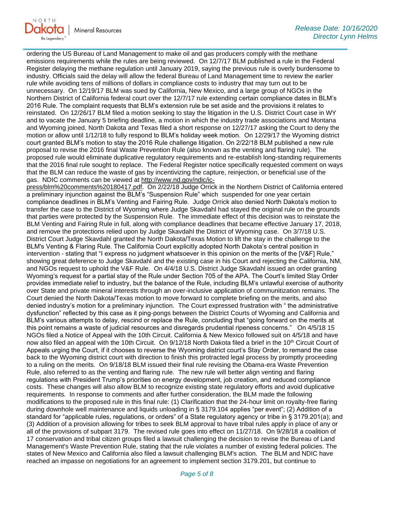

ordering the US Bureau of Land Management to make oil and gas producers comply with the methane emissions requirements while the rules are being reviewed. On 12/7/17 BLM published a rule in the Federal Register delaying the methane regulation until January 2019, saying the previous rule is overly burdensome to industry. Officials said the delay will allow the federal Bureau of Land Management time to review the earlier rule while avoiding tens of millions of dollars in compliance costs to industry that may turn out to be unnecessary. On 12/19/17 BLM was sued by California, New Mexico, and a large group of NGOs in the Northern District of California federal court over the 12/7/17 rule extending certain compliance dates in BLM's 2016 Rule. The complaint requests that BLM's extension rule be set aside and the provisions it relates to reinstated. On 12/26/17 BLM filed a motion seeking to stay the litigation in the U.S. District Court case in WY and to vacate the January 5 briefing deadline, a motion in which the industry trade associations and Montana and Wyoming joined. North Dakota and Texas filed a short response on 12/27/17 asking the Court to deny the motion or allow until 1/12/18 to fully respond to BLM's holiday week motion. On 12/29/17 the Wyoming district court granted BLM's motion to stay the 2016 Rule challenge litigation. On 2/22/18 BLM published a new rule proposal to revise the 2016 final Waste Prevention Rule (also known as the venting and flaring rule). The proposed rule would eliminate duplicative regulatory requirements and re-establish long-standing requirements that the 2016 final rule sought to replace. The Federal Register notice specifically requested comment on ways that the BLM can reduce the waste of gas by incentivizing the capture, reinjection, or beneficial use of the gas. NDIC comments can be viewed at [http://www.nd.gov/ndic/ic-](http://www.nd.gov/ndic/ic-press/blm%20comments%20180417.pdf)

[press/blm%20comments%20180417.pdf.](http://www.nd.gov/ndic/ic-press/blm%20comments%20180417.pdf) On 2/22/18 Judge Orrick in the Northern District of California entered a preliminary injunction against the BLM's "Suspension Rule" which suspended for one year certain compliance deadlines in BLM's Venting and Fairing Rule. Judge Orrick also denied North Dakota's motion to transfer the case to the District of Wyoming where Judge Skavdahl had stayed the original rule on the grounds that parties were protected by the Suspension Rule. The immediate effect of this decision was to reinstate the BLM Venting and Fairing Rule in full, along with compliance deadlines that became effective January 17, 2018, and remove the protections relied upon by Judge Skavdahl the District of Wyoming case. On 3/7/18 U.S. District Court Judge Skavdahl granted the North Dakota/Texas Motion to lift the stay in the challenge to the BLM's Venting & Flaring Rule. The California Court explicitly adopted North Dakota's central position in intervention - stating that "I express no judgment whatsoever in this opinion on the merits of the [V&F] Rule," showing great deference to Judge Skavdahl and the existing case in his Court and rejecting the California, NM, and NGOs request to uphold the V&F Rule. On 4/4/18 U.S. District Judge Skavdahl issued an order granting Wyoming's request for a partial stay of the Rule under Section 705 of the APA. The Court's limited Stay Order provides immediate relief to industry, but the balance of the Rule, including BLM's unlawful exercise of authority over State and private mineral interests through an over-inclusive application of communitization remains. The Court denied the North Dakota/Texas motion to move forward to complete briefing on the merits, and also denied industry's motion for a preliminary injunction. The Court expressed frustration with " the administrative dysfunction" reflected by this case as it ping-pongs between the District Courts of Wyoming and California and BLM's various attempts to delay, rescind or replace the Rule, concluding that "going forward on the merits at this point remains a waste of judicial resources and disregards prudential ripeness concerns." On 4/5/18 15 NGOs filed a Notice of Appeal with the 10th Circuit. California & New Mexico followed suit on 4/5/18 and have now also filed an appeal with the 10th Circuit. On 9/12/18 North Dakota filed a brief in the 10<sup>th</sup> Circuit Court of Appeals urging the Court, if it chooses to reverse the Wyoming district court's Stay Order, to remand the case back to the Wyoming district court with direction to finish this protracted legal process by promptly proceeding to a ruling on the merits. On 9/18/18 BLM issued their final rule revising the Obama-era Waste Prevention Rule, also referred to as the venting and flaring rule. The new rule will better align venting and flaring regulations with President Trump's priorities on energy development, job creation, and reduced compliance costs. These changes will also allow BLM to recognize existing state regulatory efforts and avoid duplicative requirements. In response to comments and after further consideration, the BLM made the following modifications to the proposed rule in this final rule: (1) Clarification that the 24-hour limit on royalty-free flaring during downhole well maintenance and liquids unloading in § 3179.104 applies "per event"; (2) Addition of a standard for "applicable rules, regulations, or orders" of a State regulatory agency or tribe in § 3179.201(a); and (3) Addition of a provision allowing for tribes to seek BLM approval to have tribal rules apply in place of any or all of the provisions of subpart 3179. The revised rule goes into effect on 11/27/18. On 9/28/18 a coalition of 17 conservation and tribal citizen groups filed a lawsuit challenging the decision to revise the Bureau of Land Management's Waste Prevention Rule, stating that the rule violates a number of existing federal policies. The states of New Mexico and California also filed a lawsuit challenging BLM's action. The BLM and NDIC have reached an impasse on negotiations for an agreement to implement section 3179.201, but continue to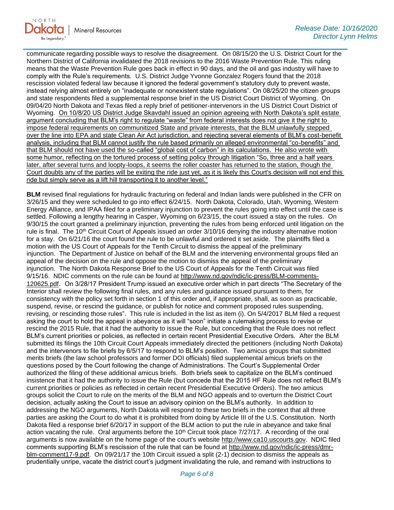

communicate regarding possible ways to resolve the disagreement. On 08/15/20 the U.S. District Court for the Northern District of California invalidated the 2018 revisions to the 2016 Waste Prevention Rule. This ruling means that the Waste Prevention Rule goes back in effect in 90 days, and the oil and gas industry will have to comply with the Rule's requirements. U.S. District Judge Yvonne Gonzalez Rogers found that the 2018 rescission violated federal law because it ignored the federal government's statutory duty to prevent waste, instead relying almost entirely on "inadequate or nonexistent state regulations". On 08/25/20 the citizen groups and state respondents filed a supplemental response brief in the US District Court District of Wyoming. On 09/04/20 North Dakota and Texas filed a reply brief of petitioner-intervenors in the US District Court District of Wyoming. On 10/8/20 US District Judge Skavdahl issued an opinion agreeing with North Dakota's split estate argument concluding that BLM's right to regulate "waste" from federal interests does not give it the right to impose federal requirements on communitized State and private interests, that the BLM unlawfully stepped over the line into EPA and state Clean Air Act jurisdiction, and rejecting several elements of BLM's cost-benefit analysis, including that BLM cannot justify the rule based primarily on alleged environmental "co-benefits" and that BLM should not have used the so-called "global cost of carbon" in its calculations. He also wrote with some humor, reflecting on the tortured process of setting policy through litigation "So, three and a half years later, after several turns and loopty-loops, it seems the roller coaster has returned to the station, though the Court doubts any of the parties will be exiting the ride just yet, as it is likely this Court's decision will not end this ride but simply serve as a lift hill transporting it to another level."

**BLM** revised final regulations for hydraulic fracturing on federal and Indian lands were published in the CFR on 3/26/15 and they were scheduled to go into effect 6/24/15. North Dakota, Colorado, Utah, Wyoming, Western Energy Alliance, and IPAA filed for a preliminary injunction to prevent the rules going into effect until the case is settled. Following a lengthy hearing in Casper, Wyoming on 6/23/15, the court issued a stay on the rules. On 9/30/15 the court granted a preliminary injunction, preventing the rules from being enforced until litigation on the rule is final. The 10<sup>th</sup> Circuit Court of Appeals issued an order 3/10/16 denying the industry alternative motion for a stay. On 6/21/16 the court found the rule to be unlawful and ordered it set aside. The plaintiffs filed a motion with the US Court of Appeals for the Tenth Circuit to dismiss the appeal of the preliminary injunction. The Department of Justice on behalf of the BLM and the intervening environmental groups filed an appeal of the decision on the rule and oppose the motion to dismiss the appeal of the preliminary injunction. The North Dakota Response Brief to the US Court of Appeals for the Tenth Circuit was filed 9/15/16. NDIC comments on the rule can be found at [http://www.nd.gov/ndic/ic-press/BLM-comments-](http://www.nd.gov/ndic/ic-press/BLM-comments-120625.pdf)[120625.pdf](http://www.nd.gov/ndic/ic-press/BLM-comments-120625.pdf). On 3/28/17 President Trump issued an executive order which in part directs "The Secretary of the Interior shall review the following final rules, and any rules and guidance issued pursuant to them, for consistency with the policy set forth in section 1 of this order and, if appropriate, shall, as soon as practicable, suspend, revise, or rescind the guidance, or publish for notice and comment proposed rules suspending, revising, or rescinding those rules". This rule is included in the list as item (i). On 5/4/2017 BLM filed a request asking the court to hold the appeal in abeyance as it will "soon" initiate a rulemaking process to revise or rescind the 2015 Rule, that it had the authority to issue the Rule, but conceding that the Rule does not reflect BLM's current priorities or policies, as reflected in certain recent Presidential Executive Orders. After the BLM submitted its filings the 10th Circuit Court Appeals immediately directed the petitioners (including North Dakota) and the intervenors to file briefs by 6/5/17 to respond to BLM's position. Two amicus groups that submitted merits briefs (the law school professors and former DOI officials) filed supplemental amicus briefs on the questions posed by the Court following the change of Administrations. The Court's Supplemental Order authorized the filing of these additional amicus briefs. Both briefs seek to capitalize on the BLM's continued insistence that it had the authority to issue the Rule (but concede that the 2015 HF Rule does not reflect BLM's current priorities or policies as reflected in certain recent Presidential Executive Orders). The two amicus groups solicit the Court to rule on the merits of the BLM and NGO appeals and to overturn the District Court decision, actually asking the Court to issue an advisory opinion on the BLM's authority. In addition to addressing the NGO arguments, North Dakota will respond to these two briefs in the context that all three parties are asking the Court to do what it is prohibited from doing by Article III of the U.S. Constitution. North Dakota filed a response brief 6/20/17 in support of the BLM action to put the rule in abeyance and take final action vacating the rule. Oral arguments before the 10<sup>th</sup> Circuit took place 7/27/17. A recording of the oral arguments is now available on the home page of the court's website [http://www.ca10.uscourts.gov.](https://gcc02.safelinks.protection.outlook.com/?url=https%3A%2F%2Furldefense.proofpoint.com%2Fv2%2Furl%3Fu%3Dhttp-3A__www.ca10.uscourts.gov%26d%3DDwMGaQ%26c%3D2s2mvbfY0UoSKkl6_Ol9wg%26r%3D-wqsZnBxny594KY8HeElow%26m%3DUl_VtJUX6iW5pvHjCcBxUWtskC0F4Dhry3sPtcEHvCw%26s%3DlaRHiLDv5w8otcQWQjpn82WMieoB2AZ-Q4M1LFQPL5s%26e%3D&data=04%7C01%7Ckahaarsager%40nd.gov%7C3acd2351eefd43ad3da408d871ffe698%7C2dea0464da514a88bae2b3db94bc0c54%7C0%7C0%7C637384691200999201%7CUnknown%7CTWFpbGZsb3d8eyJWIjoiMC4wLjAwMDAiLCJQIjoiV2luMzIiLCJBTiI6Ik1haWwiLCJXVCI6Mn0%3D%7C1000&sdata=ZfVHgRrMD2r2T2ByFIE3ICy64xPsi5ge0otRXkucJAo%3D&reserved=0) NDIC filed comments supporting BLM's rescission of the rule that can be found at [http://www.nd.gov/ndic/ic-press/dmr](http://www.nd.gov/ndic/ic-press/dmr-blm-comment17-9.pdf)[blm-comment17-9.pdf.](http://www.nd.gov/ndic/ic-press/dmr-blm-comment17-9.pdf) On 09/21/17 the 10th Circuit issued a split (2-1) decision to dismiss the appeals as prudentially unripe, vacate the district court's judgment invalidating the rule, and remand with instructions to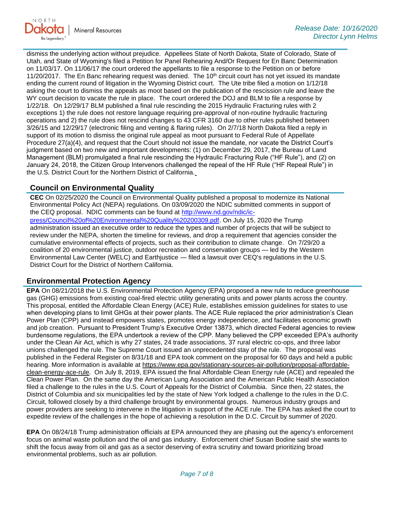

dismiss the underlying action without prejudice. Appellees State of North Dakota, State of Colorado, State of Utah, and State of Wyoming's filed a Petition for Panel Rehearing And/Or Request for En Banc Determination on 11/03/17. On 11/06/17 the court ordered the appellants to file a response to the Petition on or before 11/20/2017. The En Banc rehearing request was denied. The  $10<sup>th</sup>$  circuit court has not yet issued its mandate ending the current round of litigation in the Wyoming District court. The Ute tribe filed a motion on 1/12/18 asking the court to dismiss the appeals as moot based on the publication of the rescission rule and leave the WY court decision to vacate the rule in place. The court ordered the DOJ and BLM to file a response by 1/22/18. On 12/29/17 BLM published a final rule rescinding the 2015 Hydraulic Fracturing rules with 2 exceptions 1) the rule does not restore language requiring pre-approval of non-routine hydraulic fracturing operations and 2) the rule does not rescind changes to 43 CFR 3160 due to other rules published between 3/26/15 and 12/29/17 (electronic filing and venting & flaring rules). On 2/7/18 North Dakota filed a reply in support of its motion to dismiss the original rule appeal as moot pursuant to Federal Rule of Appellate Procedure 27(a)(4), and request that the Court should not issue the mandate, nor vacate the District Court's judgment based on two new and important developments: (1) on December 29, 2017, the Bureau of Land Management (BLM) promulgated a final rule rescinding the Hydraulic Fracturing Rule ("HF Rule"), and (2) on January 24, 2018, the Citizen Group Intervenors challenged the repeal of the HF Rule ("HF Repeal Rule") in the U.S. District Court for the Northern District of California.

# **Council on Environmental Quality**

**CEC** On 02/25/2020 the Council on Environmental Quality published a proposal to modernize its National Environmental Policy Act (NEPA) regulations. On 03/09/2020 the NDIC submitted comments in support of the CEQ proposal. NDIC comments can be found at [http://www.nd.gov/ndic/ic](http://www.nd.gov/ndic/ic-press/Council%20of%20Environmental%20Quality%20200309.pdf)[press/Council%20of%20Environmental%20Quality%20200309.pdf](http://www.nd.gov/ndic/ic-press/Council%20of%20Environmental%20Quality%20200309.pdf). On July 15, 2020 the Trump administration issued an executive order to reduce the types and number of projects that will be subject to review under the NEPA, shorten the timeline for reviews, and drop a requirement that agencies consider the cumulative environmental effects of projects, such as their contribution to climate change. On 7/29/20 a coalition of 20 environmental justice, outdoor recreation and conservation groups — led by the Western Environmental Law Center (WELC) and Earthjustice — filed a lawsuit over CEQ's regulations in the U.S. District Court for the District of Northern California.

# **Environmental Protection Agency**

**EPA** On 08/21/2018 the U.S. Environmental Protection Agency (EPA) proposed a new rule to reduce greenhouse gas (GHG) emissions from existing coal-fired electric utility generating units and power plants across the country. This proposal, entitled the Affordable Clean Energy (ACE) Rule, establishes emission guidelines for states to use when developing plans to limit GHGs at their power plants. The ACE Rule replaced the prior administration's Clean Power Plan (CPP) and instead empowers states, promotes energy independence, and facilitates economic growth and job creation. Pursuant to President Trump's Executive Order 13873, which directed Federal agencies to review burdensome regulations, the EPA undertook a review of the CPP. Many believed the CPP exceeded EPA's authority under the Clean Air Act, which is why 27 states, 24 trade associations, 37 rural electric co-ops, and three labor unions challenged the rule. The Supreme Court issued an unprecedented stay of the rule. The proposal was published in the Federal Register on 8/31/18 and EPA took comment on the proposal for 60 days and held a public hearing. More information is available at [https://www.epa.gov/stationary-sources-air-pollution/proposal-affordable](https://gcc02.safelinks.protection.outlook.com/?url=https%3A%2F%2Fwww.epa.gov%2Fstationary-sources-air-pollution%2Fproposal-affordable-clean-energy-ace-rule&data=04%7C01%7Ckahaarsager%40nd.gov%7C3acd2351eefd43ad3da408d871ffe698%7C2dea0464da514a88bae2b3db94bc0c54%7C0%7C0%7C637384691201009158%7CUnknown%7CTWFpbGZsb3d8eyJWIjoiMC4wLjAwMDAiLCJQIjoiV2luMzIiLCJBTiI6Ik1haWwiLCJXVCI6Mn0%3D%7C1000&sdata=7MQC%2Bj2U4fg8z%2B8JFKFZu0yd%2BcgmBv%2FRNRQsD6gMw8I%3D&reserved=0)[clean-energy-ace-rule.](https://gcc02.safelinks.protection.outlook.com/?url=https%3A%2F%2Fwww.epa.gov%2Fstationary-sources-air-pollution%2Fproposal-affordable-clean-energy-ace-rule&data=04%7C01%7Ckahaarsager%40nd.gov%7C3acd2351eefd43ad3da408d871ffe698%7C2dea0464da514a88bae2b3db94bc0c54%7C0%7C0%7C637384691201009158%7CUnknown%7CTWFpbGZsb3d8eyJWIjoiMC4wLjAwMDAiLCJQIjoiV2luMzIiLCJBTiI6Ik1haWwiLCJXVCI6Mn0%3D%7C1000&sdata=7MQC%2Bj2U4fg8z%2B8JFKFZu0yd%2BcgmBv%2FRNRQsD6gMw8I%3D&reserved=0) On July 8, 2019, EPA issued the final Affordable Clean Energy rule (ACE) and repealed the Clean Power Plan. On the same day the American Lung Association and the American Public Health Association filed a challenge to the rules in the U.S. Court of Appeals for the District of Columbia. Since then, 22 states, the District of Columbia and six municipalities led by the state of New York lodged a challenge to the rules in the D.C. Circuit, followed closely by a third challenge brought by environmental groups. Numerous industry groups and power providers are seeking to intervene in the litigation in support of the ACE rule. The EPA has asked the court to expedite review of the challenges in the hope of achieving a resolution in the D.C. Circuit by summer of 2020.

**EPA** On 08/24/18 Trump administration officials at EPA announced they are phasing out the agency's enforcement focus on animal waste pollution and the oil and gas industry. Enforcement chief Susan Bodine said she wants to shift the focus away from oil and gas as a sector deserving of extra scrutiny and toward prioritizing broad environmental problems, such as air pollution.